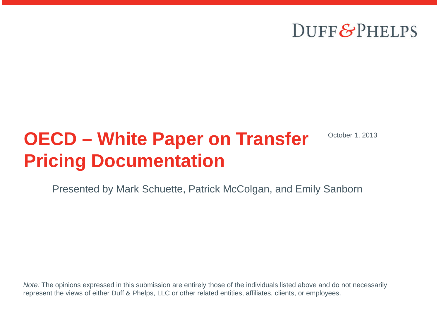## DUFF&PHELPS

# **OECD – White Paper on Transfer Pricing Documentation**

October 1, 2013

Presented by Mark Schuette, Patrick McColgan, and Emily Sanborn

*Note:* The opinions expressed in this submission are entirely those of the individuals listed above and do not necessarily represent the views of either Duff & Phelps, LLC or other related entities, affiliates, clients, or employees.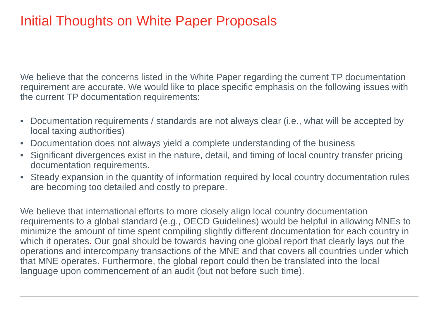#### Initial Thoughts on White Paper Proposals

We believe that the concerns listed in the White Paper regarding the current TP documentation requirement are accurate. We would like to place specific emphasis on the following issues with the current TP documentation requirements:

- Documentation requirements / standards are not always clear (i.e., what will be accepted by local taxing authorities)
- Documentation does not always yield a complete understanding of the business
- Significant divergences exist in the nature, detail, and timing of local country transfer pricing documentation requirements.
- Steady expansion in the quantity of information required by local country documentation rules are becoming too detailed and costly to prepare.

We believe that international efforts to more closely align local country documentation requirements to a global standard (e.g., OECD Guidelines) would be helpful in allowing MNEs to minimize the amount of time spent compiling slightly different documentation for each country in which it operates. Our goal should be towards having one global report that clearly lays out the operations and intercompany transactions of the MNE and that covers all countries under which that MNE operates. Furthermore, the global report could then be translated into the local language upon commencement of an audit (but not before such time).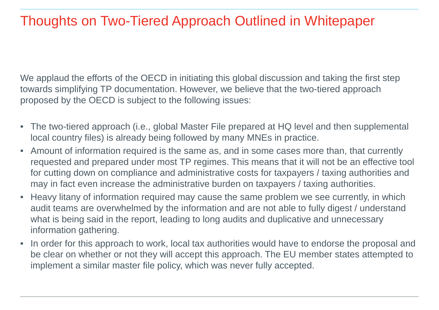### Thoughts on Two-Tiered Approach Outlined in Whitepaper

We applaud the efforts of the OECD in initiating this global discussion and taking the first step towards simplifying TP documentation. However, we believe that the two-tiered approach proposed by the OECD is subject to the following issues:

- The two-tiered approach (i.e., global Master File prepared at HQ level and then supplemental local country files) is already being followed by many MNEs in practice.
- Amount of information required is the same as, and in some cases more than, that currently requested and prepared under most TP regimes. This means that it will not be an effective tool for cutting down on compliance and administrative costs for taxpayers / taxing authorities and may in fact even increase the administrative burden on taxpayers / taxing authorities.
- Heavy litany of information required may cause the same problem we see currently, in which audit teams are overwhelmed by the information and are not able to fully digest / understand what is being said in the report, leading to long audits and duplicative and unnecessary information gathering.
- In order for this approach to work, local tax authorities would have to endorse the proposal and be clear on whether or not they will accept this approach. The EU member states attempted to implement a similar master file policy, which was never fully accepted.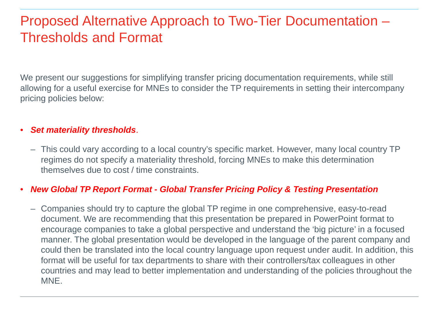### Proposed Alternative Approach to Two-Tier Documentation – Thresholds and Format

We present our suggestions for simplifying transfer pricing documentation requirements, while still allowing for a useful exercise for MNEs to consider the TP requirements in setting their intercompany pricing policies below:

#### • *Set materiality thresholds*.

– This could vary according to a local country's specific market. However, many local country TP regimes do not specify a materiality threshold, forcing MNEs to make this determination themselves due to cost / time constraints.

#### • *New Global TP Report Format - Global Transfer Pricing Policy & Testing Presentation*

– Companies should try to capture the global TP regime in one comprehensive, easy-to-read document. We are recommending that this presentation be prepared in PowerPoint format to encourage companies to take a global perspective and understand the 'big picture' in a focused manner. The global presentation would be developed in the language of the parent company and could then be translated into the local country language upon request under audit. In addition, this format will be useful for tax departments to share with their controllers/tax colleagues in other countries and may lead to better implementation and understanding of the policies throughout the MNE.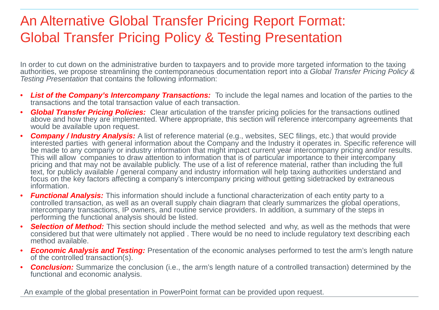### An Alternative Global Transfer Pricing Report Format: Global Transfer Pricing Policy & Testing Presentation

In order to cut down on the administrative burden to taxpayers and to provide more targeted information to the taxing authorities, we propose streamlining the contemporaneous documentation report into a *Global Transfer Pricing Policy & Testing Presentation* that contains the following information:

- *List of the Company's Intercompany Transactions:* To include the legal names and location of the parties to the transactions and the total transaction value of each transaction.
- *Global Transfer Pricing Policies:* Clear articulation of the transfer pricing policies for the transactions outlined above and how they are implemented. Where appropriate, this section will reference intercompany agreements that would be available upon request.
- *Company / Industry Analysis:* A list of reference material (e.g., websites, SEC filings, etc.) that would provide interested parties with general information about the Company and the Industry it operates in. Specific reference will be made to any company or industry information that might impact current year intercompany pricing and/or results. This will allow companies to draw attention to information that is of particular importance to their intercompany pricing and that may not be available publicly. The use of a list of reference material, rather than including the full text, for publicly available / general company and industry information will help taxing authorities understand and focus on the key factors affecting a company's intercompany pricing without getting sidetracked by extraneous information.
- *Functional Analysis:* This information should include a functional characterization of each entity party to a controlled transaction, as well as an overall supply chain diagram that clearly summarizes the global operations, intercompany transactions, IP owners, and routine service providers. In addition, a summary of the steps in performing the functional analysis should be listed.
- *Selection of Method:* This section should include the method selected and why, as well as the methods that were considered but that were ultimately not applied . There would be no need to include regulatory text describing each method available.
- *Economic Analysis and Testing:* Presentation of the economic analyses performed to test the arm's length nature of the controlled transaction(s).
- *Conclusion:* Summarize the conclusion (i.e., the arm's length nature of a controlled transaction) determined by the functional and economic analysis.

An example of the global presentation in PowerPoint format can be provided upon request.